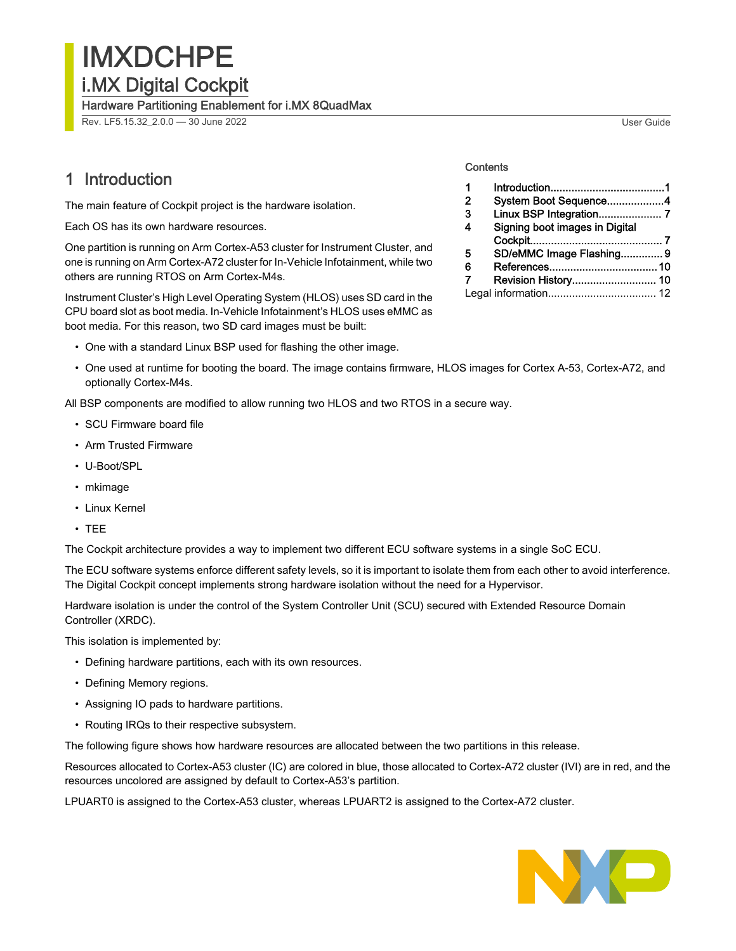IMXDCHPE i.MX Digital Cockpit

Hardware Partitioning Enablement for i.MX 8QuadMax

Rev. LF5.15.32\_2.0.0 — 30 June 2022 User Guide

## 1 Introduction

The main feature of Cockpit project is the hardware isolation.

Each OS has its own hardware resources.

One partition is running on Arm Cortex-A53 cluster for Instrument Cluster, and one is running on Arm Cortex-A72 cluster for In-Vehicle Infotainment, while two others are running RTOS on Arm Cortex-M4s.

Instrument Cluster's High Level Operating System (HLOS) uses SD card in the CPU board slot as boot media. In-Vehicle Infotainment's HLOS uses eMMC as boot media. For this reason, two SD card images must be built:

- One with a standard Linux BSP used for flashing the other image.
- One used at runtime for booting the board. The image contains firmware, HLOS images for Cortex A-53, Cortex-A72, and optionally Cortex-M4s.

All BSP components are modified to allow running two HLOS and two RTOS in a secure way.

- SCU Firmware board file
- Arm Trusted Firmware
- U-Boot/SPL
- mkimage
- Linux Kernel
- TEE

The Cockpit architecture provides a way to implement two different ECU software systems in a single SoC ECU.

The ECU software systems enforce different safety levels, so it is important to isolate them from each other to avoid interference. The Digital Cockpit concept implements strong hardware isolation without the need for a Hypervisor.

Hardware isolation is under the control of the System Controller Unit (SCU) secured with Extended Resource Domain Controller (XRDC).

This isolation is implemented by:

- Defining hardware partitions, each with its own resources.
- Defining Memory regions.
- Assigning IO pads to hardware partitions.
- Routing IRQs to their respective subsystem.

The following figure shows how hardware resources are allocated between the two partitions in this release.

Resources allocated to Cortex-A53 cluster (IC) are colored in blue, those allocated to Cortex-A72 cluster (IVI) are in red, and the resources uncolored are assigned by default to Cortex-A53's partition.

LPUART0 is assigned to the Cortex-A53 cluster, whereas LPUART2 is assigned to the Cortex-A72 cluster.





#### **Contents**

| 1              |                                |  |
|----------------|--------------------------------|--|
| $\overline{2}$ | System Boot Sequence4          |  |
| -3             |                                |  |
| 4              | Signing boot images in Digital |  |
|                |                                |  |
| 5              | SD/eMMC Image Flashing 9       |  |
| 6              |                                |  |
| 7              | Revision History 10            |  |
|                |                                |  |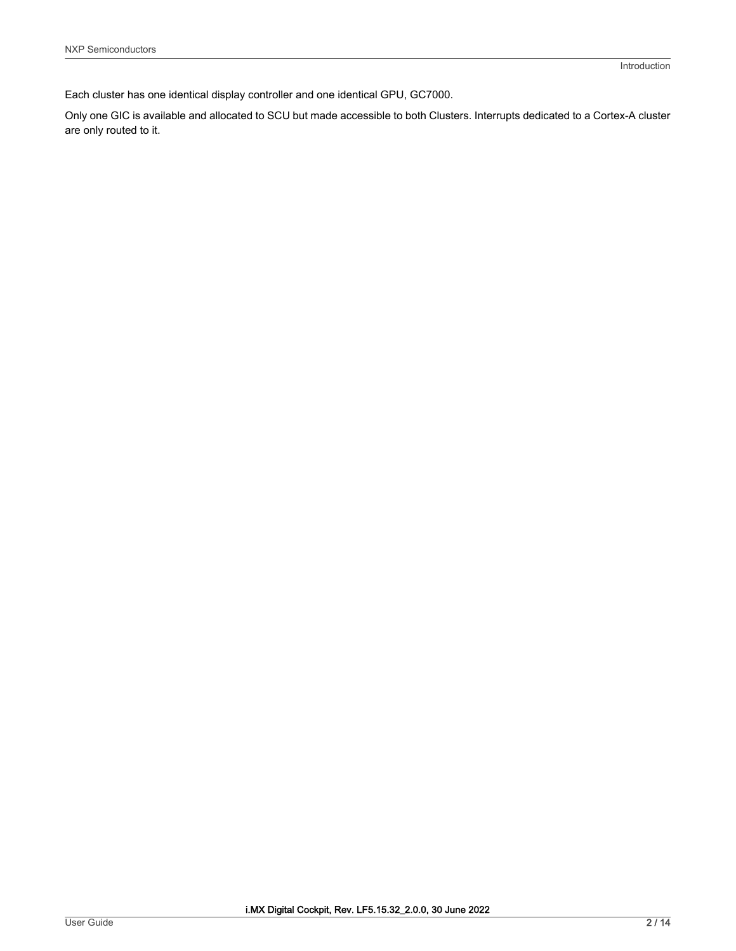Each cluster has one identical display controller and one identical GPU, GC7000.

Only one GIC is available and allocated to SCU but made accessible to both Clusters. Interrupts dedicated to a Cortex-A cluster are only routed to it.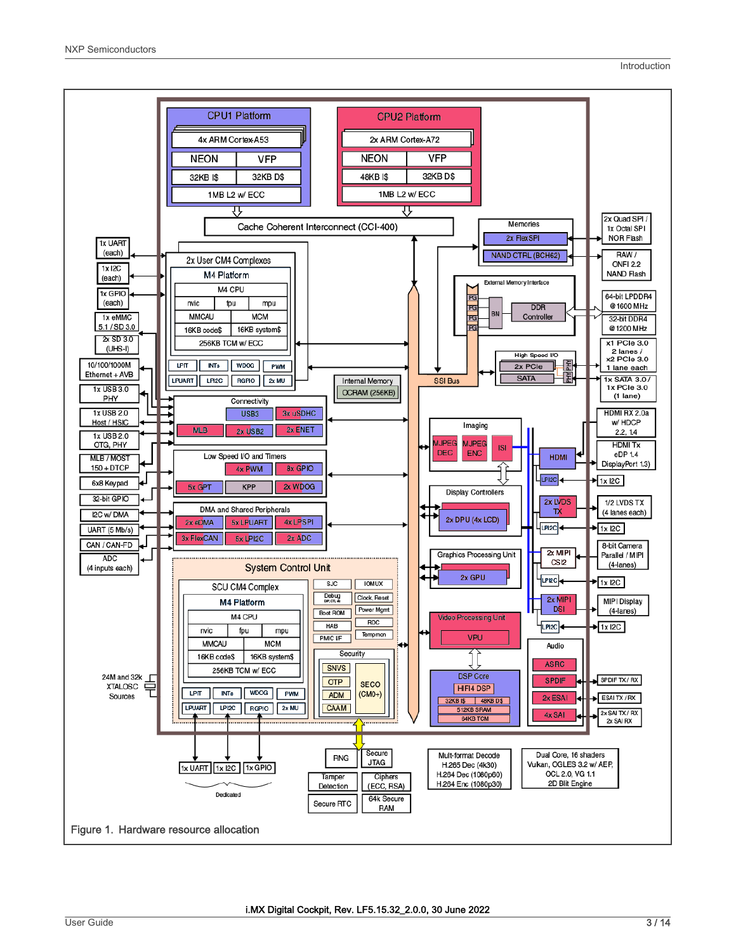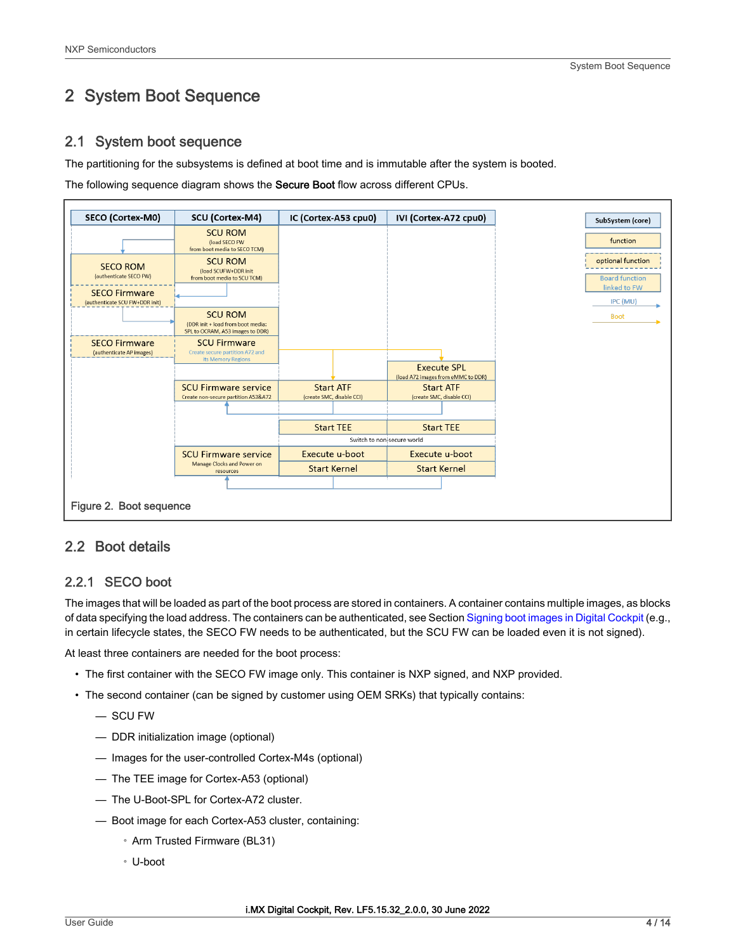## <span id="page-3-0"></span>2 System Boot Sequence

## 2.1 System boot sequence

The partitioning for the subsystems is defined at boot time and is immutable after the system is booted.

The following sequence diagram shows the Secure Boot flow across different CPUs.



## 2.2 Boot details

## 2.2.1 SECO boot

The images that will be loaded as part of the boot process are stored in containers. A container contains multiple images, as blocks of data specifying the load address. The containers can be authenticated, see Section [Signing boot images in Digital Cockpit](#page-6-0) (e.g., in certain lifecycle states, the SECO FW needs to be authenticated, but the SCU FW can be loaded even it is not signed).

At least three containers are needed for the boot process:

- The first container with the SECO FW image only. This container is NXP signed, and NXP provided.
- The second container (can be signed by customer using OEM SRKs) that typically contains:
	- SCU FW
	- DDR initialization image (optional)
	- Images for the user-controlled Cortex-M4s (optional)
	- The TEE image for Cortex-A53 (optional)
	- The U-Boot-SPL for Cortex-A72 cluster.
	- Boot image for each Cortex-A53 cluster, containing:
		- Arm Trusted Firmware (BL31)
		- U-boot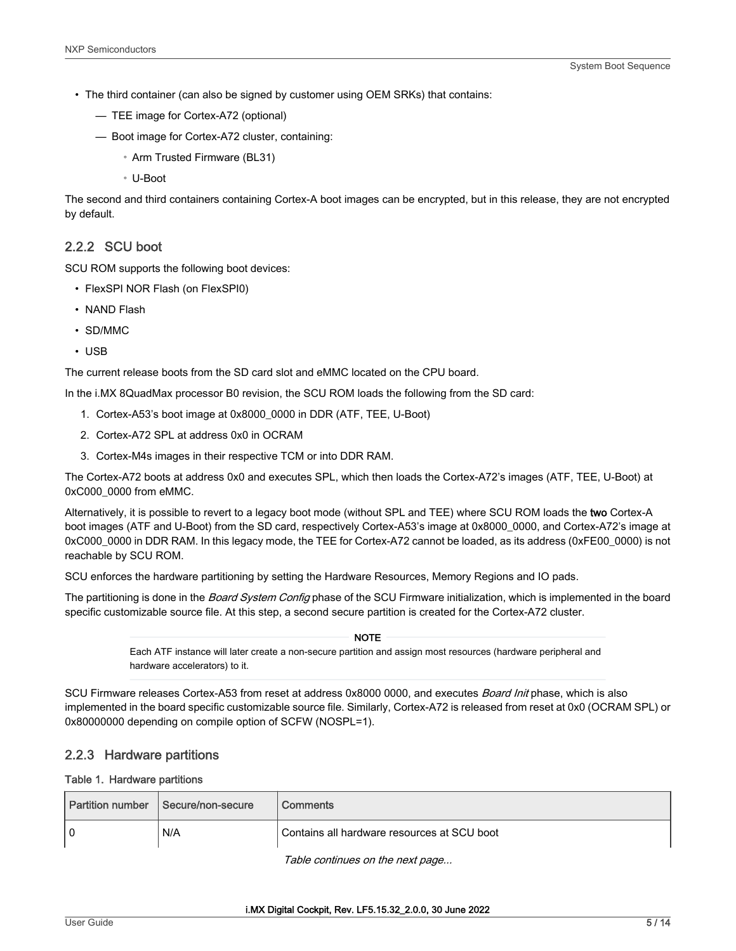- The third container (can also be signed by customer using OEM SRKs) that contains:
	- TEE image for Cortex-A72 (optional)
	- Boot image for Cortex-A72 cluster, containing:
		- Arm Trusted Firmware (BL31)
		- U-Boot

The second and third containers containing Cortex-A boot images can be encrypted, but in this release, they are not encrypted by default.

## 2.2.2 SCU boot

SCU ROM supports the following boot devices:

- FlexSPI NOR Flash (on FlexSPI0)
- NAND Flash
- SD/MMC
- USB

The current release boots from the SD card slot and eMMC located on the CPU board.

In the i.MX 8QuadMax processor B0 revision, the SCU ROM loads the following from the SD card:

- 1. Cortex-A53's boot image at 0x8000\_0000 in DDR (ATF, TEE, U-Boot)
- 2. Cortex-A72 SPL at address 0x0 in OCRAM
- 3. Cortex-M4s images in their respective TCM or into DDR RAM.

The Cortex-A72 boots at address 0x0 and executes SPL, which then loads the Cortex-A72's images (ATF, TEE, U-Boot) at 0xC000\_0000 from eMMC.

Alternatively, it is possible to revert to a legacy boot mode (without SPL and TEE) where SCU ROM loads the two Cortex-A boot images (ATF and U-Boot) from the SD card, respectively Cortex-A53's image at 0x8000\_0000, and Cortex-A72's image at 0xC000\_0000 in DDR RAM. In this legacy mode, the TEE for Cortex-A72 cannot be loaded, as its address (0xFE00\_0000) is not reachable by SCU ROM.

SCU enforces the hardware partitioning by setting the Hardware Resources, Memory Regions and IO pads.

The partitioning is done in the *Board System Config* phase of the SCU Firmware initialization, which is implemented in the board specific customizable source file. At this step, a second secure partition is created for the Cortex-A72 cluster.

> Each ATF instance will later create a non-secure partition and assign most resources (hardware peripheral and hardware accelerators) to it. **NOTE**

SCU Firmware releases Cortex-A53 from reset at address 0x8000 0000, and executes Board Init phase, which is also implemented in the board specific customizable source file. Similarly, Cortex-A72 is released from reset at 0x0 (OCRAM SPL) or 0x80000000 depending on compile option of SCFW (NOSPL=1).

### 2.2.3 Hardware partitions

#### Table 1. Hardware partitions

|    | Partition number Secure/non-secure | Comments                                    |
|----|------------------------------------|---------------------------------------------|
| ۱o | N/A                                | Contains all hardware resources at SCU boot |

Table continues on the next page...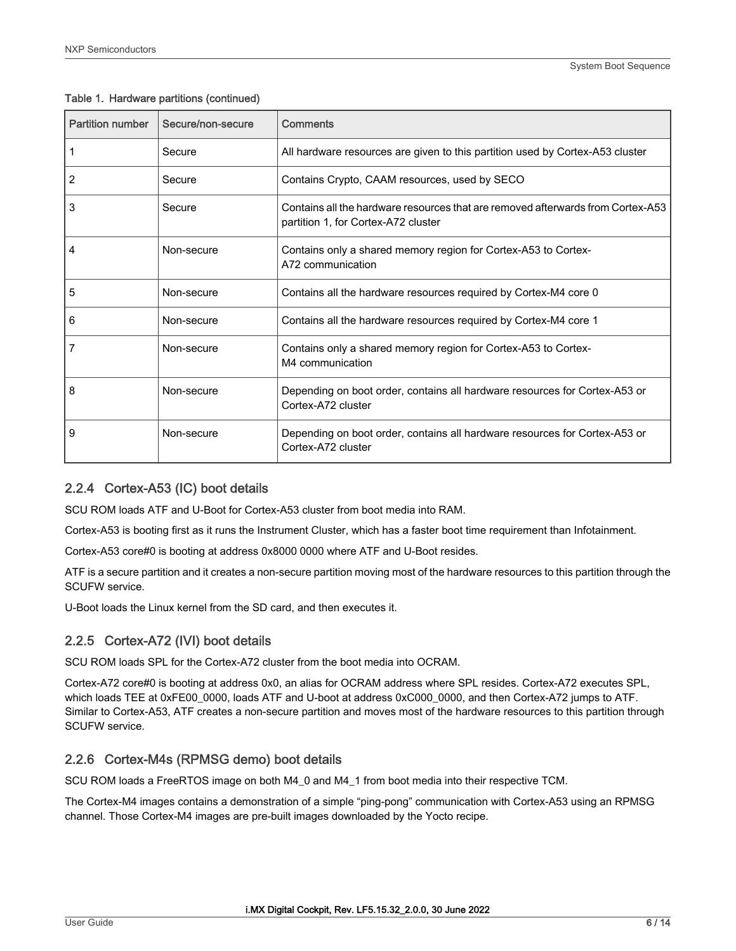| <b>Partition number</b> | Secure/non-secure | Comments                                                                                                               |
|-------------------------|-------------------|------------------------------------------------------------------------------------------------------------------------|
|                         | Secure            | All hardware resources are given to this partition used by Cortex-A53 cluster                                          |
| 2                       | Secure            | Contains Crypto, CAAM resources, used by SECO                                                                          |
| 3                       | Secure            | Contains all the hardware resources that are removed afterwards from Cortex-A53<br>partition 1, for Cortex-A72 cluster |
| 4                       | Non-secure        | Contains only a shared memory region for Cortex-A53 to Cortex-<br>A72 communication                                    |
| 5                       | Non-secure        | Contains all the hardware resources required by Cortex-M4 core 0                                                       |
| 6                       | Non-secure        | Contains all the hardware resources required by Cortex-M4 core 1                                                       |
| 7                       | Non-secure        | Contains only a shared memory region for Cortex-A53 to Cortex-<br>M4 communication                                     |
| 8                       | Non-secure        | Depending on boot order, contains all hardware resources for Cortex-A53 or<br>Cortex-A72 cluster                       |
| 9                       | Non-secure        | Depending on boot order, contains all hardware resources for Cortex-A53 or<br>Cortex-A72 cluster                       |

#### Table 1. Hardware partitions (continued)

## 2.2.4 Cortex-A53 (IC) boot details

SCU ROM loads ATF and U-Boot for Cortex-A53 cluster from boot media into RAM.

Cortex-A53 is booting first as it runs the Instrument Cluster, which has a faster boot time requirement than Infotainment.

Cortex-A53 core#0 is booting at address 0x8000 0000 where ATF and U-Boot resides.

ATF is a secure partition and it creates a non-secure partition moving most of the hardware resources to this partition through the SCUFW service.

U-Boot loads the Linux kernel from the SD card, and then executes it.

## 2.2.5 Cortex-A72 (IVI) boot details

SCU ROM loads SPL for the Cortex-A72 cluster from the boot media into OCRAM.

Cortex-A72 core#0 is booting at address 0x0, an alias for OCRAM address where SPL resides. Cortex-A72 executes SPL, which loads TEE at 0xFE00\_0000, loads ATF and U-boot at address 0xC000\_0000, and then Cortex-A72 jumps to ATF. Similar to Cortex-A53, ATF creates a non-secure partition and moves most of the hardware resources to this partition through SCUFW service.

## 2.2.6 Cortex-M4s (RPMSG demo) boot details

SCU ROM loads a FreeRTOS image on both M4\_0 and M4\_1 from boot media into their respective TCM.

The Cortex-M4 images contains a demonstration of a simple "ping-pong" communication with Cortex-A53 using an RPMSG channel. Those Cortex-M4 images are pre-built images downloaded by the Yocto recipe.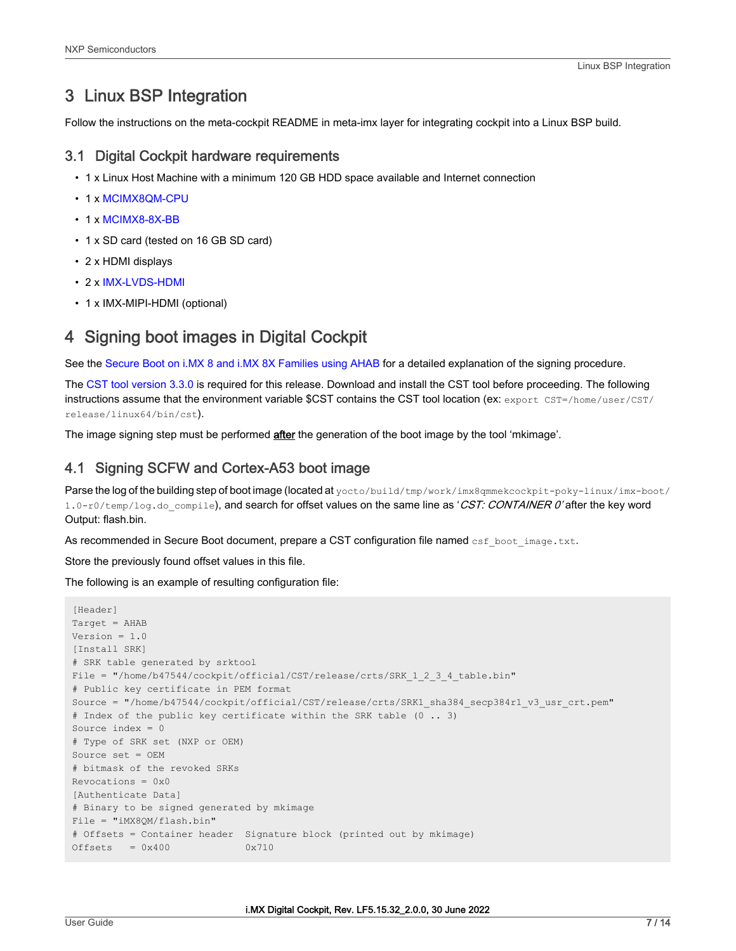## <span id="page-6-0"></span>3 Linux BSP Integration

Follow the instructions on the meta-cockpit README in meta-imx layer for integrating cockpit into a Linux BSP build.

## 3.1 Digital Cockpit hardware requirements

- 1 x Linux Host Machine with a minimum 120 GB HDD space available and Internet connection
- 1 x [MCIMX8QM-CPU](https://www.nxp.com/part/MCIMX8QM-CPU?lang=en&lang_cd=en&)
- 1 x [MCIMX8-8X-BB](https://www.nxp.com/part/MCIMX8-8X-BB)
- 1 x SD card (tested on 16 GB SD card)
- 2 x HDMI displays
- 2 x [IMX-LVDS-HDMI](https://www.nxp.com/part/IMX-LVDS-HDMI?)
- 1 x IMX-MIPI-HDMI (optional)

## 4 Signing boot images in Digital Cockpit

See the [Secure Boot on i.MX 8 and i.MX 8X Families using AHAB](https://www.nxp.com/docs/en/application-note/AN12312.pdf) for a detailed explanation of the signing procedure.

The [CST tool version 3.3.0](https://www.nxp.com/webapp/Download?colCode=IMX_CST_TOOL_NEW&location=null) is required for this release. Download and install the CST tool before proceeding. The following instructions assume that the environment variable \$CST contains the CST tool location (ex: export CST=/home/user/CST/ release/linux64/bin/cst).

The image signing step must be performed **after** the generation of the boot image by the tool 'mkimage'.

## 4.1 Signing SCFW and Cortex-A53 boot image

Parse the log of the building step of boot image (located at yocto/build/tmp/work/imx8qmmekcockpit-poky-linux/imx-boot/ 1.0-r0/temp/log.do compile), and search for offset values on the same line as 'CST: CONTAINER 0' after the key word Output: flash.bin.

As recommended in Secure Boot document, prepare a CST configuration file named csf boot image.txt.

Store the previously found offset values in this file.

The following is an example of resulting configuration file:

```
[Header]
Target = AHAB
Version = 1.0
[Install SRK]
# SRK table generated by srktool
File = "/home/b47544/cockpit/official/CST/release/crts/SRK 1 2 3 4 table.bin"
# Public key certificate in PEM format
Source = "/home/b47544/cockpit/official/CST/release/crts/SRK1_sha384_secp384r1_v3_usr_crt.pem"
# Index of the public key certificate within the SRK table (0 .. 3)
Source index = 0
# Type of SRK set (NXP or OEM)
Source set = OEM
# bitmask of the revoked SRKs
Revocations = <math>0x0</math>[Authenticate Data]
# Binary to be signed generated by mkimage
File = "iMX8QM/flash.bin"
# Offsets = Container header Signature block (printed out by mkimage)
Offsets = 0x400 0x710
```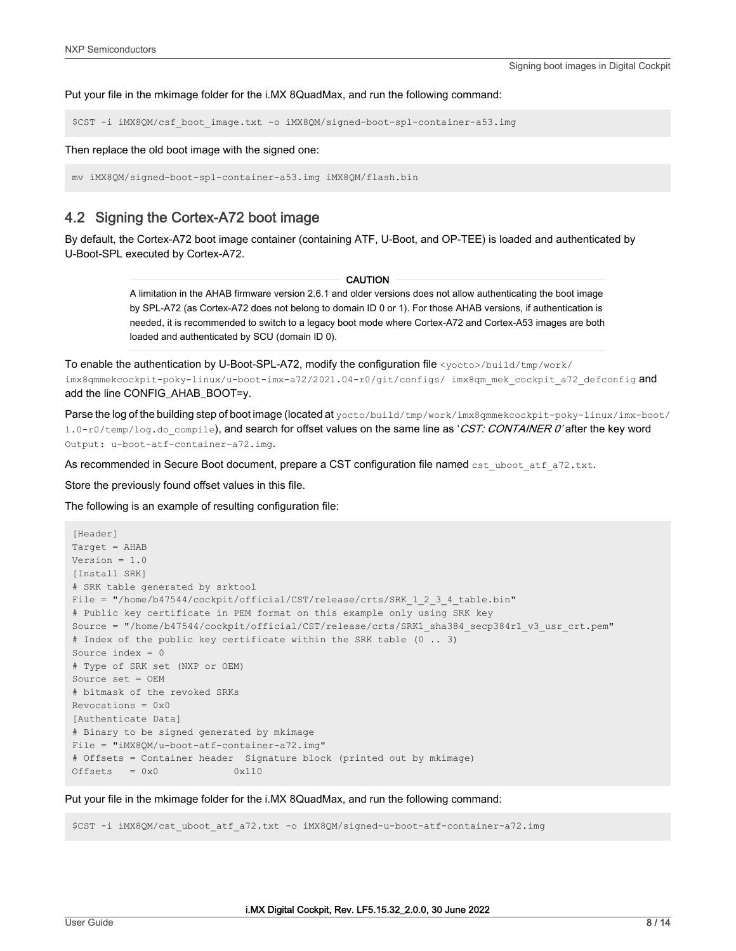Put your file in the mkimage folder for the i.MX 8QuadMax, and run the following command:

\$CST -i iMX8QM/csf\_boot\_image.txt -o iMX8QM/signed-boot-spl-container-a53.img

Then replace the old boot image with the signed one:

mv iMX8QM/signed-boot-spl-container-a53.img iMX8QM/flash.bin

## 4.2 Signing the Cortex-A72 boot image

By default, the Cortex-A72 boot image container (containing ATF, U-Boot, and OP-TEE) is loaded and authenticated by U-Boot-SPL executed by Cortex-A72.

#### CAUTION

A limitation in the AHAB firmware version 2.6.1 and older versions does not allow authenticating the boot image by SPL-A72 (as Cortex-A72 does not belong to domain ID 0 or 1). For those AHAB versions, if authentication is needed, it is recommended to switch to a legacy boot mode where Cortex-A72 and Cortex-A53 images are both loaded and authenticated by SCU (domain ID 0).

To enable the authentication by U-Boot-SPL-A72, modify the configuration file <yocto>/build/tmp/work/ imx8qmmekcockpit-poky-linux/u-boot-imx-a72/2021.04-r0/git/configs/ imx8qm mek cockpit a72 defconfig and add the line CONFIG\_AHAB\_BOOT=y.

Parse the log of the building step of boot image (located at yocto/build/tmp/work/imx8qmmekcockpit-poky-linux/imx-boot/ 1.0-r0/temp/log.do compile), and search for offset values on the same line as 'CST: CONTAINER 0' after the key word Output: u-boot-atf-container-a72.img.

As recommended in Secure Boot document, prepare a CST configuration file named cst\_uboot\_atf\_a72.txt.

Store the previously found offset values in this file.

The following is an example of resulting configuration file:

```
[Header]
Target = AHAB
Version = 1.0
[Install SRK]
# SRK table generated by srktool
File = "/home/b47544/cockpit/official/CST/release/crts/SRK 1 2 3 4 table.bin"
# Public key certificate in PEM format on this example only using SRK key
Source = "/home/b47544/cockpit/official/CST/release/crts/SRK1_sha384_secp384r1_v3_usr_crt.pem"
# Index of the public key certificate within the SRK table (0 .. 3)
Source index = 0
# Type of SRK set (NXP or OEM)
Source set = OEM
# bitmask of the revoked SRKs
Revocations = 0x0
[Authenticate Data]
# Binary to be signed generated by mkimage
File = "iMX8QM/u-boot-atf-container-a72.img"
# Offsets = Container header Signature block (printed out by mkimage)
Offests = 0x0 0x110
```
Put your file in the mkimage folder for the i.MX 8QuadMax, and run the following command:

\$CST -i iMX8QM/cst\_uboot\_atf\_a72.txt -o iMX8QM/signed-u-boot-atf-container-a72.img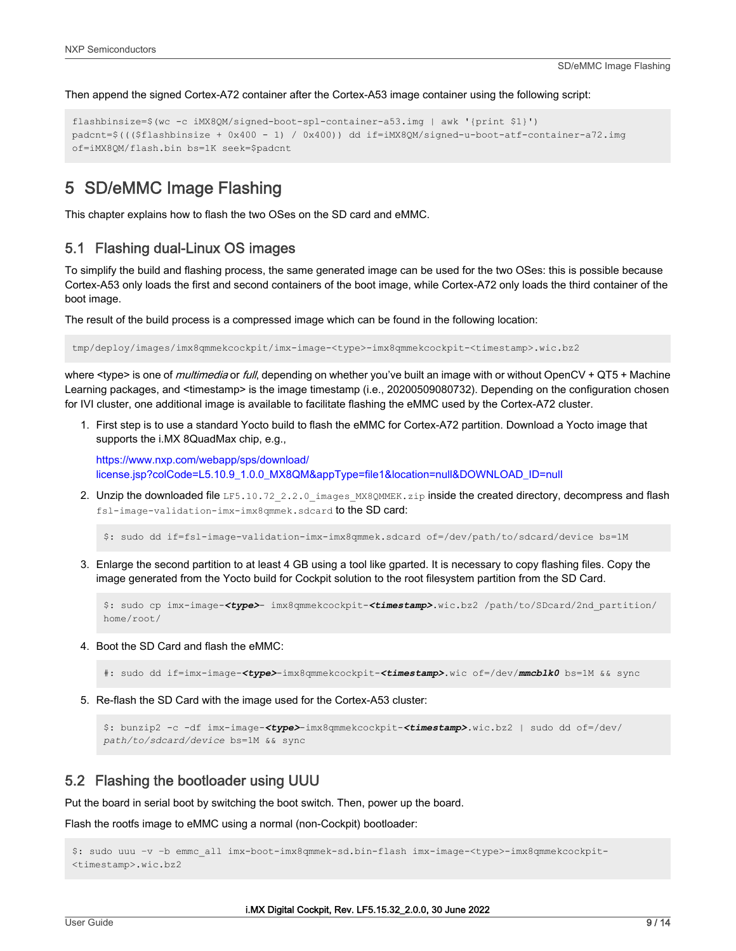<span id="page-8-0"></span>Then append the signed Cortex-A72 container after the Cortex-A53 image container using the following script:

```
flashbinsize=$(wc -c iMX8QM/signed-boot-spl-container-a53.img | awk '{print $1}') 
padcnt=$((($flashbinsize + 0x400 - 1) / 0x400)) dd if=iMX8QM/signed-u-boot-atf-container-a72.img 
of=iMX8QM/flash.bin bs=1K seek=$padcnt
```
## 5 SD/eMMC Image Flashing

This chapter explains how to flash the two OSes on the SD card and eMMC.

## 5.1 Flashing dual-Linux OS images

To simplify the build and flashing process, the same generated image can be used for the two OSes: this is possible because Cortex-A53 only loads the first and second containers of the boot image, while Cortex-A72 only loads the third container of the boot image.

The result of the build process is a compressed image which can be found in the following location:

tmp/deploy/images/imx8qmmekcockpit/imx-image-<type>-imx8qmmekcockpit-<timestamp>.wic.bz2

where <type> is one of *multimedia* or *full*, depending on whether you've built an image with or without OpenCV + QT5 + Machine Learning packages, and <timestamp> is the image timestamp (i.e., 20200509080732). Depending on the configuration chosen for IVI cluster, one additional image is available to facilitate flashing the eMMC used by the Cortex-A72 cluster.

1. First step is to use a standard Yocto build to flash the eMMC for Cortex-A72 partition. Download a Yocto image that supports the i.MX 8QuadMax chip, e.g.,

[https://www.nxp.com/webapp/sps/download/](https://www.nxp.com/webapp/sps/download/license.jsp?colCode=L5.10.9_1.0.0_MX8QM&appType=file1&location=null&DOWNLOAD_ID=null) [license.jsp?colCode=L5.10.9\\_1.0.0\\_MX8QM&appType=file1&location=null&DOWNLOAD\\_ID=null](https://www.nxp.com/webapp/sps/download/license.jsp?colCode=L5.10.9_1.0.0_MX8QM&appType=file1&location=null&DOWNLOAD_ID=null)

2. Unzip the downloaded file LF5.10.72 2.2.0 images MX8QMMEK.zip inside the created directory, decompress and flash fsl-image-validation-imx-imx8qmmek.sdcard to the SD card:

\$: sudo dd if=fsl-image-validation-imx-imx8qmmek.sdcard of=/dev/path/to/sdcard/device bs=1M

3. Enlarge the second partition to at least 4 GB using a tool like gparted. It is necessary to copy flashing files. Copy the image generated from the Yocto build for Cockpit solution to the root filesystem partition from the SD Card.

```
$: sudo cp imx-image-<type>- imx8qmmekcockpit-<timestamp>.wic.bz2 /path/to/SDcard/2nd_partition/
home/root/
```
4. Boot the SD Card and flash the eMMC:

#: sudo dd if=imx-image-*<type>*-imx8qmmekcockpit-*<timestamp>*.wic of=/dev/*mmcblk0* bs=1M && sync

5. Re-flash the SD Card with the image used for the Cortex-A53 cluster:

```
$: bunzip2 -c -df imx-image-<type>-imx8qmmekcockpit-<timestamp>.wic.bz2 | sudo dd of=/dev/
path/to/sdcard/device bs=1M && sync
```
## 5.2 Flashing the bootloader using UUU

Put the board in serial boot by switching the boot switch. Then, power up the board.

Flash the rootfs image to eMMC using a normal (non-Cockpit) bootloader:

```
$: sudo uuu –v –b emmc_all imx-boot-imx8qmmek-sd.bin-flash imx-image-<type>-imx8qmmekcockpit-
<timestamp>.wic.bz2
```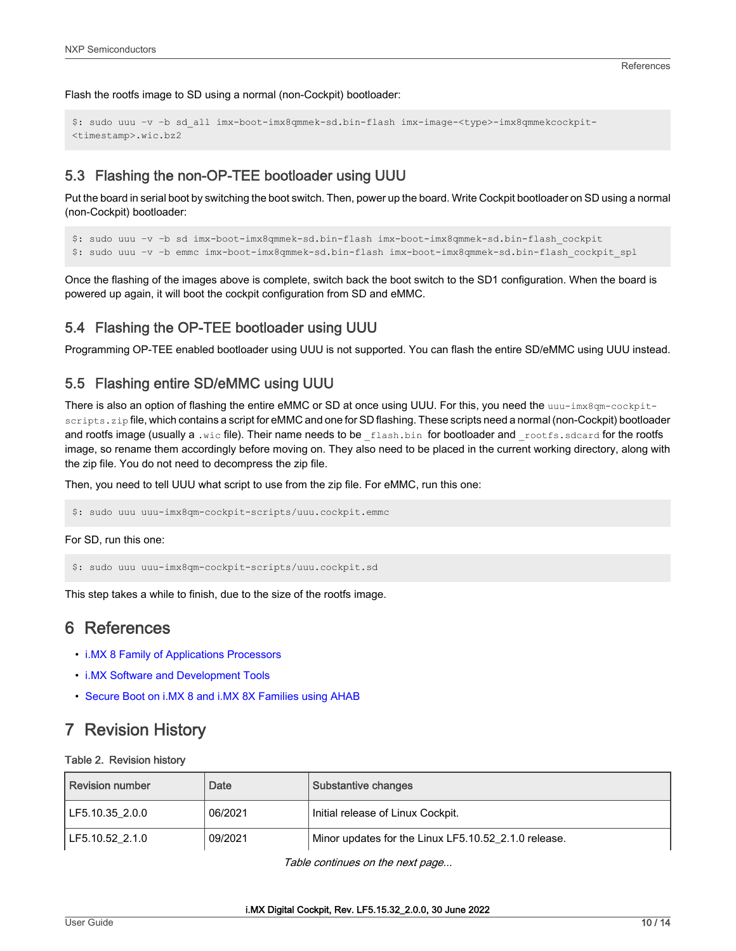<span id="page-9-0"></span>Flash the rootfs image to SD using a normal (non-Cockpit) bootloader:

```
$: sudo uuu –v –b sd_all imx-boot-imx8qmmek-sd.bin-flash imx-image-<type>-imx8qmmekcockpit-
<timestamp>.wic.bz2
```
## 5.3 Flashing the non-OP-TEE bootloader using UUU

Put the board in serial boot by switching the boot switch. Then, power up the board. Write Cockpit bootloader on SD using a normal (non-Cockpit) bootloader:

```
$: sudo uuu –v –b sd imx-boot-imx8qmmek-sd.bin-flash imx-boot-imx8qmmek-sd.bin-flash_cockpit
$: sudo uuu –v –b emmc imx-boot-imx8qmmek-sd.bin-flash imx-boot-imx8qmmek-sd.bin-flash_cockpit_spl
```
Once the flashing of the images above is complete, switch back the boot switch to the SD1 configuration. When the board is powered up again, it will boot the cockpit configuration from SD and eMMC.

### 5.4 Flashing the OP-TEE bootloader using UUU

Programming OP-TEE enabled bootloader using UUU is not supported. You can flash the entire SD/eMMC using UUU instead.

### 5.5 Flashing entire SD/eMMC using UUU

There is also an option of flashing the entire eMMC or SD at once using UUU. For this, you need the uuu-imx8qm-cockpitscripts. zip file, which contains a script for eMMC and one for SD flashing. These scripts need a normal (non-Cockpit) bootloader and rootfs image (usually a .wic file). Their name needs to be flash.bin for bootloader and rootfs.sdcard for the rootfs image, so rename them accordingly before moving on. They also need to be placed in the current working directory, along with the zip file. You do not need to decompress the zip file.

Then, you need to tell UUU what script to use from the zip file. For eMMC, run this one:

\$: sudo uuu uuu-imx8qm-cockpit-scripts/uuu.cockpit.emmc

For SD, run this one:

\$: sudo uuu uuu-imx8qm-cockpit-scripts/uuu.cockpit.sd

This step takes a while to finish, due to the size of the rootfs image.

## 6 References

- [i.MX 8 Family of Applications Processors](https://www.nxp.com/docs/en/fact-sheet/IMX8FAMFS.pdf)
- [i.MX Software and Development Tools](https://www.nxp.com/products/processors-and-microcontrollers/arm-based-processors-and-mcus/i.mx-applications-processors/i.mx-8-processors/i.mx-software-and-development-tool:IMX_SW)
- [Secure Boot on i.MX 8 and i.MX 8X Families using AHAB](https://www.nxp.com/docs/en/application-note/AN12312.pdf)

## 7 Revision History

#### Table 2. Revision history

| <b>Revision number</b> | Date    | Substantive changes                                  |
|------------------------|---------|------------------------------------------------------|
| LF5.10.35 2.0.0        | 06/2021 | Initial release of Linux Cockpit.                    |
| LF5.10.52 2.1.0        | 09/2021 | Minor updates for the Linux LF5.10.52 2.1.0 release. |

Table continues on the next page...

#### i.MX Digital Cockpit, Rev. LF5.15.32\_2.0.0, 30 June 2022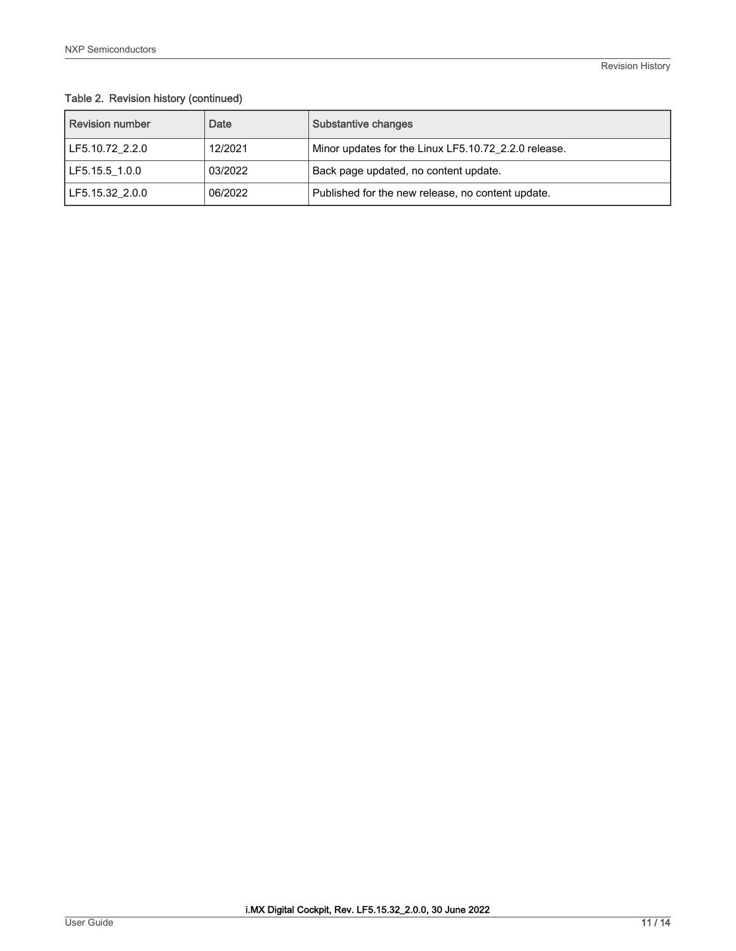## Table 2. Revision history (continued)

| I Revision number | Date    | Substantive changes                                  |
|-------------------|---------|------------------------------------------------------|
| LF5.10.72 2.2.0   | 12/2021 | Minor updates for the Linux LF5.10.72_2.2.0 release. |
| LF5.15.5 1.0.0    | 03/2022 | Back page updated, no content update.                |
| LF5.15.32 2.0.0   | 06/2022 | Published for the new release, no content update.    |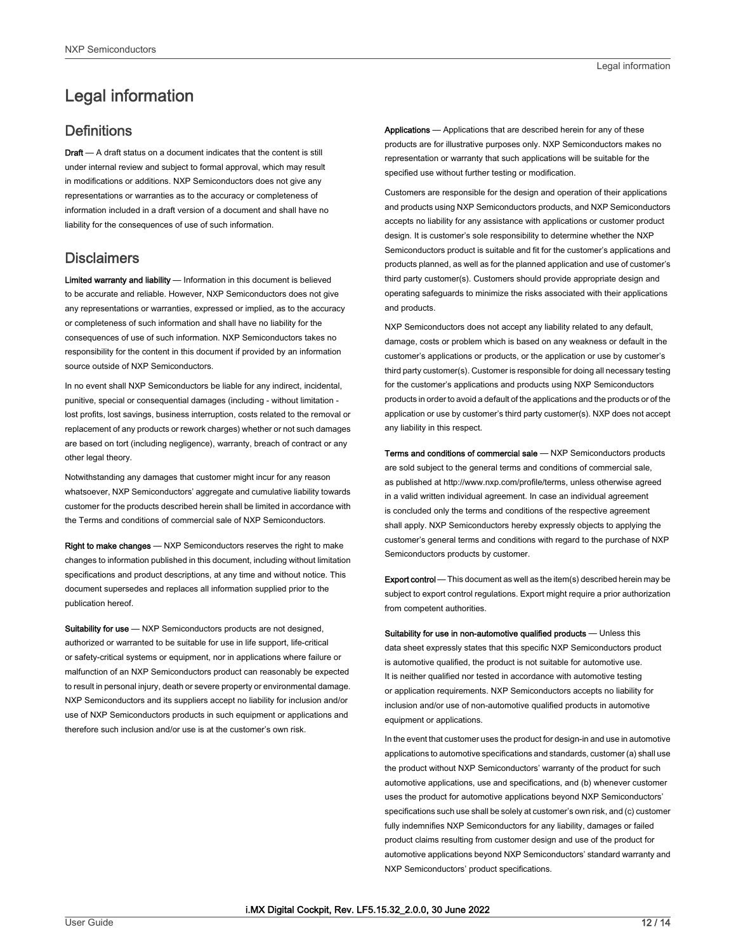## <span id="page-11-0"></span>Legal information

## **Definitions**

Draft - A draft status on a document indicates that the content is still under internal review and subject to formal approval, which may result in modifications or additions. NXP Semiconductors does not give any representations or warranties as to the accuracy or completeness of information included in a draft version of a document and shall have no liability for the consequences of use of such information.

## **Disclaimers**

Limited warranty and liability - Information in this document is believed to be accurate and reliable. However, NXP Semiconductors does not give any representations or warranties, expressed or implied, as to the accuracy or completeness of such information and shall have no liability for the consequences of use of such information. NXP Semiconductors takes no responsibility for the content in this document if provided by an information source outside of NXP Semiconductors.

In no event shall NXP Semiconductors be liable for any indirect, incidental, punitive, special or consequential damages (including - without limitation lost profits, lost savings, business interruption, costs related to the removal or replacement of any products or rework charges) whether or not such damages are based on tort (including negligence), warranty, breach of contract or any other legal theory.

Notwithstanding any damages that customer might incur for any reason whatsoever, NXP Semiconductors' aggregate and cumulative liability towards customer for the products described herein shall be limited in accordance with the Terms and conditions of commercial sale of NXP Semiconductors.

Right to make changes — NXP Semiconductors reserves the right to make changes to information published in this document, including without limitation specifications and product descriptions, at any time and without notice. This document supersedes and replaces all information supplied prior to the publication hereof.

Suitability for use - NXP Semiconductors products are not designed, authorized or warranted to be suitable for use in life support, life-critical or safety-critical systems or equipment, nor in applications where failure or malfunction of an NXP Semiconductors product can reasonably be expected to result in personal injury, death or severe property or environmental damage. NXP Semiconductors and its suppliers accept no liability for inclusion and/or use of NXP Semiconductors products in such equipment or applications and therefore such inclusion and/or use is at the customer's own risk.

Applications — Applications that are described herein for any of these products are for illustrative purposes only. NXP Semiconductors makes no representation or warranty that such applications will be suitable for the specified use without further testing or modification.

Customers are responsible for the design and operation of their applications and products using NXP Semiconductors products, and NXP Semiconductors accepts no liability for any assistance with applications or customer product design. It is customer's sole responsibility to determine whether the NXP Semiconductors product is suitable and fit for the customer's applications and products planned, as well as for the planned application and use of customer's third party customer(s). Customers should provide appropriate design and operating safeguards to minimize the risks associated with their applications and products.

NXP Semiconductors does not accept any liability related to any default, damage, costs or problem which is based on any weakness or default in the customer's applications or products, or the application or use by customer's third party customer(s). Customer is responsible for doing all necessary testing for the customer's applications and products using NXP Semiconductors products in order to avoid a default of the applications and the products or of the application or use by customer's third party customer(s). NXP does not accept any liability in this respect.

Terms and conditions of commercial sale — NXP Semiconductors products are sold subject to the general terms and conditions of commercial sale, as published at http://www.nxp.com/profile/terms, unless otherwise agreed in a valid written individual agreement. In case an individual agreement is concluded only the terms and conditions of the respective agreement shall apply. NXP Semiconductors hereby expressly objects to applying the customer's general terms and conditions with regard to the purchase of NXP Semiconductors products by customer.

Export control - This document as well as the item(s) described herein may be subject to export control regulations. Export might require a prior authorization from competent authorities.

Suitability for use in non-automotive qualified products - Unless this data sheet expressly states that this specific NXP Semiconductors product is automotive qualified, the product is not suitable for automotive use. It is neither qualified nor tested in accordance with automotive testing or application requirements. NXP Semiconductors accepts no liability for inclusion and/or use of non-automotive qualified products in automotive equipment or applications.

In the event that customer uses the product for design-in and use in automotive applications to automotive specifications and standards, customer (a) shall use the product without NXP Semiconductors' warranty of the product for such automotive applications, use and specifications, and (b) whenever customer uses the product for automotive applications beyond NXP Semiconductors' specifications such use shall be solely at customer's own risk, and (c) customer fully indemnifies NXP Semiconductors for any liability, damages or failed product claims resulting from customer design and use of the product for automotive applications beyond NXP Semiconductors' standard warranty and NXP Semiconductors' product specifications.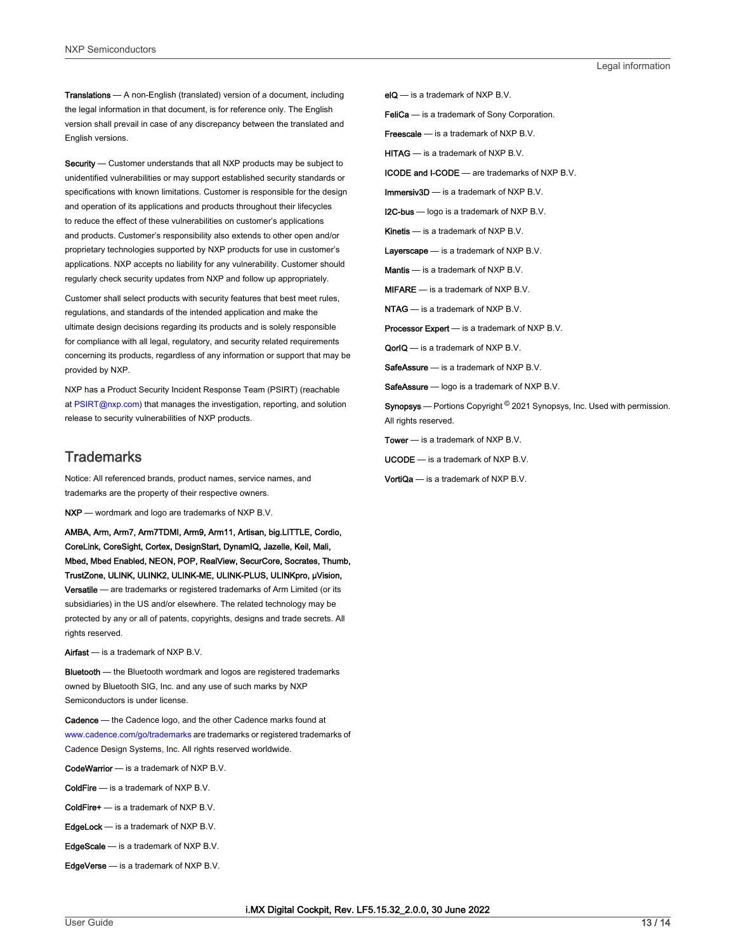Translations — A non-English (translated) version of a document, including the legal information in that document, is for reference only. The English version shall prevail in case of any discrepancy between the translated and English versions.

Security - Customer understands that all NXP products may be subject to unidentified vulnerabilities or may support established security standards or specifications with known limitations. Customer is responsible for the design and operation of its applications and products throughout their lifecycles to reduce the effect of these vulnerabilities on customer's applications and products. Customer's responsibility also extends to other open and/or proprietary technologies supported by NXP products for use in customer's applications. NXP accepts no liability for any vulnerability. Customer should regularly check security updates from NXP and follow up appropriately.

Customer shall select products with security features that best meet rules, regulations, and standards of the intended application and make the ultimate design decisions regarding its products and is solely responsible for compliance with all legal, regulatory, and security related requirements concerning its products, regardless of any information or support that may be provided by NXP.

NXP has a Product Security Incident Response Team (PSIRT) (reachable at [PSIRT@nxp.com\)](mailto:PSIRT@nxp.com) that manages the investigation, reporting, and solution release to security vulnerabilities of NXP products.

## **Trademarks**

Notice: All referenced brands, product names, service names, and trademarks are the property of their respective owners.

NXP — wordmark and logo are trademarks of NXP B.V.

AMBA, Arm, Arm7, Arm7TDMI, Arm9, Arm11, Artisan, big.LITTLE, Cordio, CoreLink, CoreSight, Cortex, DesignStart, DynamIQ, Jazelle, Keil, Mali, Mbed, Mbed Enabled, NEON, POP, RealView, SecurCore, Socrates, Thumb, TrustZone, ULINK, ULINK2, ULINK-ME, ULINK-PLUS, ULINKpro, μVision, Versatile — are trademarks or registered trademarks of Arm Limited (or its subsidiaries) in the US and/or elsewhere. The related technology may be protected by any or all of patents, copyrights, designs and trade secrets. All rights reserved.

Airfast — is a trademark of NXP B.V.

**Bluetooth** — the Bluetooth wordmark and logos are registered trademarks owned by Bluetooth SIG, Inc. and any use of such marks by NXP Semiconductors is under license.

Cadence — the Cadence logo, and the other Cadence marks found at [www.cadence.com/go/trademarks](http://www.cadence.com/go/trademarks) are trademarks or registered trademarks of Cadence Design Systems, Inc. All rights reserved worldwide.

CodeWarrior — is a trademark of NXP B.V.

- ColdFire is a trademark of NXP B.V.
- ColdFire+ is a trademark of NXP B.V.
- EdgeLock is a trademark of NXP B.V.
- EdgeScale is a trademark of NXP B.V.
- EdgeVerse is a trademark of NXP B.V.

elQ - is a trademark of NXP B.V.

FeliCa - is a trademark of Sony Corporation.

**Freescale** — is a trademark of NXP B.V.

HITAG — is a trademark of NXP B.V.

ICODE and I-CODE — are trademarks of NXP B.V.

Immersiv3D — is a trademark of NXP B.V.

**I2C-bus** — logo is a trademark of NXP B.V.

Kinetis - is a trademark of NXP B.V.

Layerscape - is a trademark of NXP B.V.

Mantis - is a trademark of NXP B.V.

MIFARE — is a trademark of NXP B.V.

NTAG — is a trademark of NXP B.V.

Processor Expert - is a trademark of NXP B.V.

QorIQ — is a trademark of NXP B.V.

SafeAssure — is a trademark of NXP B.V.

SafeAssure - logo is a trademark of NXP B.V.

Synopsys — Portions Copyright <sup>©</sup> 2021 Synopsys, Inc. Used with permission. All rights reserved.

Tower - is a trademark of NXP B.V.

- UCODE is a trademark of NXP B.V.
- VortiQa is a trademark of NXP B.V.